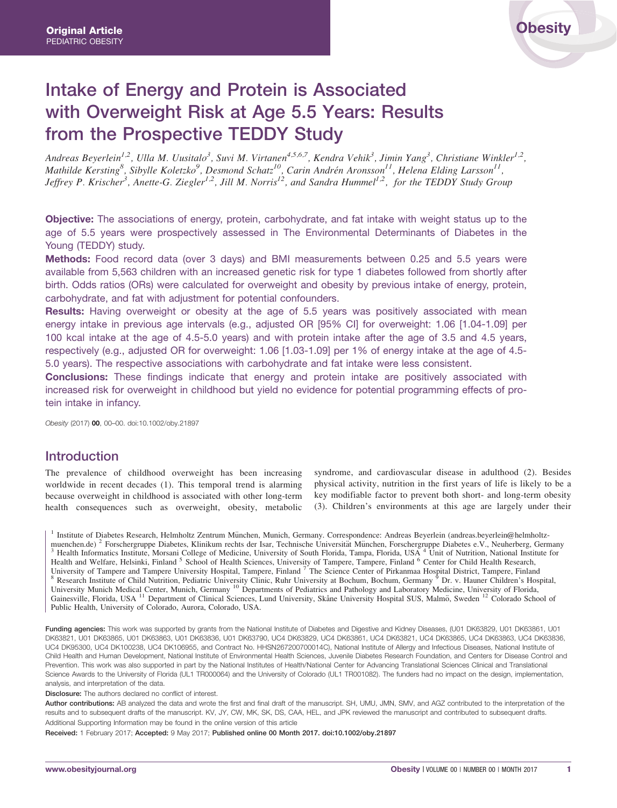# Intake of Energy and Protein is Associated with Overweight Risk at Age 5.5 Years: Results from the Prospective TEDDY Study

Andreas Beyerlein<sup>1,2</sup>, Ulla M. Uusitalo<sup>3</sup>, Suvi M. Virtanen<sup>4,5,6,7</sup>, Kendra Vehik<sup>3</sup>, Jimin Yang<sup>3</sup>, Christiane Winkler<sup>1,2</sup>, Mathilde Kersting<sup>8</sup>, Sibylle Koletzko<sup>9</sup>, Desmond Schatz<sup>10</sup>, Carin Andrén Aronsson<sup>11</sup>, Helena Elding Larsson<sup>11</sup>, Jeffrey P. Krischer<sup>3</sup>, Anette-G. Ziegler<sup>1,2</sup>, Jill M. Norris<sup>12</sup>, and Sandra Hummel<sup>1,2</sup>, for the TEDDY Study Group

**Objective:** The associations of energy, protein, carbohydrate, and fat intake with weight status up to the age of 5.5 years were prospectively assessed in The Environmental Determinants of Diabetes in the Young (TEDDY) study.

Methods: Food record data (over 3 days) and BMI measurements between 0.25 and 5.5 years were available from 5,563 children with an increased genetic risk for type 1 diabetes followed from shortly after birth. Odds ratios (ORs) were calculated for overweight and obesity by previous intake of energy, protein, carbohydrate, and fat with adjustment for potential confounders.

Results: Having overweight or obesity at the age of 5.5 years was positively associated with mean energy intake in previous age intervals (e.g., adjusted OR [95% CI] for overweight: 1.06 [1.04-1.09] per 100 kcal intake at the age of 4.5-5.0 years) and with protein intake after the age of 3.5 and 4.5 years, respectively (e.g., adjusted OR for overweight: 1.06 [1.03-1.09] per 1% of energy intake at the age of 4.5- 5.0 years). The respective associations with carbohydrate and fat intake were less consistent.

**Conclusions:** These findings indicate that energy and protein intake are positively associated with increased risk for overweight in childhood but yield no evidence for potential programming effects of protein intake in infancy.

Obesity (2017) 00, 00–00. doi:10.1002/oby.21897

# Introduction

The prevalence of childhood overweight has been increasing worldwide in recent decades (1). This temporal trend is alarming because overweight in childhood is associated with other long-term health consequences such as overweight, obesity, metabolic

syndrome, and cardiovascular disease in adulthood (2). Besides physical activity, nutrition in the first years of life is likely to be a key modifiable factor to prevent both short- and long-term obesity (3). Children's environments at this age are largely under their

<sup>1</sup> Institute of Diabetes Research, Helmholtz Zentrum München, Munich, Germany. Correspondence: Andreas Beyerlein (andreas.beyerlein@helmholtz-<br>muenchen.de)<sup>2</sup> Forschergruppe Diabetes, Klinikum rechts der Isar, Technische Health Informatics Institute, Morsani College of Medicine, University of South Florida, Tampa, Florida, USA <sup>4</sup> Unit of Nutrition, National Institute for Health and Welfare, Helsinki, Finland <sup>5</sup> School of Health Sciences, University of Tampere, Tampere, Finland <sup>6</sup> Center for Child Health Research, University of Tampere and Tampere University Hospital, Tampere, Finland <sup>7</sup> University of Tampere and Tampere University Hospital, Tampere, Finland <sup>7</sup> The Science Center of Pirkanmaa Hospital District, Tampere, Finland<br><sup>8</sup> Research Institute of Child Nutrition, Pediatric University Clinic, Ruhr U University Munich Medical Center, Munich, Germany<sup>10</sup> Departments of Pediatrics and Pathology and Laboratory Medicine, University of Florida, Gainesville, Florida, USA <sup>11</sup> Department of Clinical Sciences, Lund University, Skåne University Hospital SUS, Malmö, Sweden <sup>12</sup> Colorado School of Public Health, University of Colorado, Aurora, Colorado, USA.

Funding agencies: This work was supported by grants from the National Institute of Diabetes and Digestive and Kidney Diseases, (U01 DK63829, U01 DK63861, U01 DK63821, U01 DK63865, U01 DK63863, U01 DK63836, U01 DK63790, UC4 DK63829, UC4 DK63861, UC4 DK63821, UC4 DK63865, UC4 DK63863, UC4 DK63836, UC4 DK95300, UC4 DK100238, UC4 DK106955, and Contract No. HHSN267200700014C), National Institute of Allergy and Infectious Diseases, National Institute of Child Health and Human Development, National Institute of Environmental Health Sciences, Juvenile Diabetes Research Foundation, and Centers for Disease Control and Prevention. This work was also supported in part by the National Institutes of Health/National Center for Advancing Translational Sciences Clinical and Translational Science Awards to the University of Florida (UL1 TR000064) and the University of Colorado (UL1 TR001082). The funders had no impact on the design, implementation, analysis, and interpretation of the data.

Disclosure: The authors declared no conflict of interest.

Author contributions: AB analyzed the data and wrote the first and final draft of the manuscript. SH, UMU, JMN, SMV, and AGZ contributed to the interpretation of the results and to subsequent drafts of the manuscript. KV, JY, CW, MK, SK, DS, CAA, HEL, and JPK reviewed the manuscript and contributed to subsequent drafts. Additional Supporting Information may be found in the online version of this article

Received: 1 February 2017; Accepted: 9 May 2017; Published online 00 Month 2017. doi:10.1002/oby.21897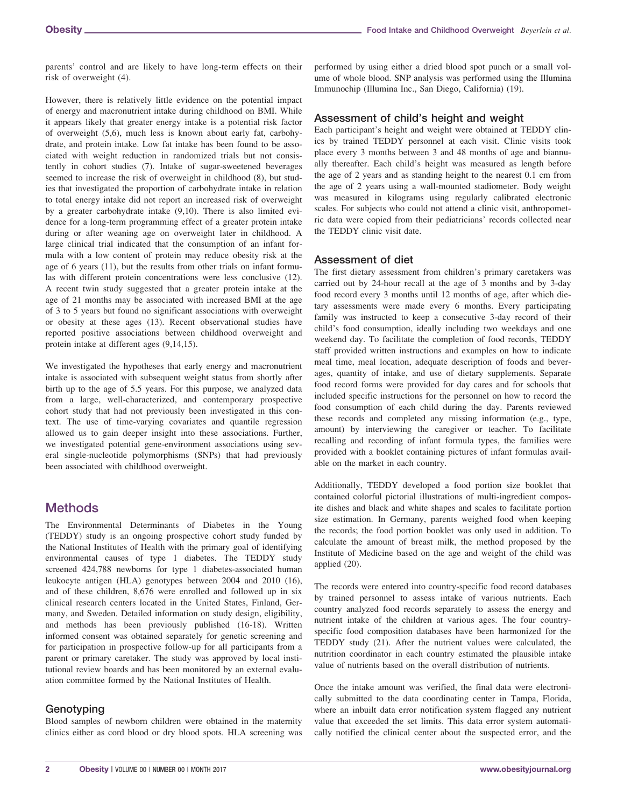parents' control and are likely to have long-term effects on their risk of overweight (4).

However, there is relatively little evidence on the potential impact of energy and macronutrient intake during childhood on BMI. While it appears likely that greater energy intake is a potential risk factor of overweight (5,6), much less is known about early fat, carbohydrate, and protein intake. Low fat intake has been found to be associated with weight reduction in randomized trials but not consistently in cohort studies (7). Intake of sugar-sweetened beverages seemed to increase the risk of overweight in childhood (8), but studies that investigated the proportion of carbohydrate intake in relation to total energy intake did not report an increased risk of overweight by a greater carbohydrate intake (9,10). There is also limited evidence for a long-term programming effect of a greater protein intake during or after weaning age on overweight later in childhood. A large clinical trial indicated that the consumption of an infant formula with a low content of protein may reduce obesity risk at the age of 6 years (11), but the results from other trials on infant formulas with different protein concentrations were less conclusive (12). A recent twin study suggested that a greater protein intake at the age of 21 months may be associated with increased BMI at the age of 3 to 5 years but found no significant associations with overweight or obesity at these ages (13). Recent observational studies have reported positive associations between childhood overweight and protein intake at different ages (9,14,15).

We investigated the hypotheses that early energy and macronutrient intake is associated with subsequent weight status from shortly after birth up to the age of 5.5 years. For this purpose, we analyzed data from a large, well-characterized, and contemporary prospective cohort study that had not previously been investigated in this context. The use of time-varying covariates and quantile regression allowed us to gain deeper insight into these associations. Further, we investigated potential gene-environment associations using several single-nucleotide polymorphisms (SNPs) that had previously been associated with childhood overweight.

# Methods

The Environmental Determinants of Diabetes in the Young (TEDDY) study is an ongoing prospective cohort study funded by the National Institutes of Health with the primary goal of identifying environmental causes of type 1 diabetes. The TEDDY study screened 424,788 newborns for type 1 diabetes-associated human leukocyte antigen (HLA) genotypes between 2004 and 2010 (16), and of these children, 8,676 were enrolled and followed up in six clinical research centers located in the United States, Finland, Germany, and Sweden. Detailed information on study design, eligibility, and methods has been previously published (16-18). Written informed consent was obtained separately for genetic screening and for participation in prospective follow-up for all participants from a parent or primary caretaker. The study was approved by local institutional review boards and has been monitored by an external evaluation committee formed by the National Institutes of Health.

# Genotyping

Blood samples of newborn children were obtained in the maternity clinics either as cord blood or dry blood spots. HLA screening was performed by using either a dried blood spot punch or a small volume of whole blood. SNP analysis was performed using the Illumina Immunochip (Illumina Inc., San Diego, California) (19).

## Assessment of child's height and weight

Each participant's height and weight were obtained at TEDDY clinics by trained TEDDY personnel at each visit. Clinic visits took place every 3 months between 3 and 48 months of age and biannually thereafter. Each child's height was measured as length before the age of 2 years and as standing height to the nearest 0.1 cm from the age of 2 years using a wall-mounted stadiometer. Body weight was measured in kilograms using regularly calibrated electronic scales. For subjects who could not attend a clinic visit, anthropometric data were copied from their pediatricians' records collected near the TEDDY clinic visit date.

## Assessment of diet

The first dietary assessment from children's primary caretakers was carried out by 24-hour recall at the age of 3 months and by 3-day food record every 3 months until 12 months of age, after which dietary assessments were made every 6 months. Every participating family was instructed to keep a consecutive 3-day record of their child's food consumption, ideally including two weekdays and one weekend day. To facilitate the completion of food records, TEDDY staff provided written instructions and examples on how to indicate meal time, meal location, adequate description of foods and beverages, quantity of intake, and use of dietary supplements. Separate food record forms were provided for day cares and for schools that included specific instructions for the personnel on how to record the food consumption of each child during the day. Parents reviewed these records and completed any missing information (e.g., type, amount) by interviewing the caregiver or teacher. To facilitate recalling and recording of infant formula types, the families were provided with a booklet containing pictures of infant formulas available on the market in each country.

Additionally, TEDDY developed a food portion size booklet that contained colorful pictorial illustrations of multi-ingredient composite dishes and black and white shapes and scales to facilitate portion size estimation. In Germany, parents weighed food when keeping the records; the food portion booklet was only used in addition. To calculate the amount of breast milk, the method proposed by the Institute of Medicine based on the age and weight of the child was applied (20).

The records were entered into country-specific food record databases by trained personnel to assess intake of various nutrients. Each country analyzed food records separately to assess the energy and nutrient intake of the children at various ages. The four countryspecific food composition databases have been harmonized for the TEDDY study (21). After the nutrient values were calculated, the nutrition coordinator in each country estimated the plausible intake value of nutrients based on the overall distribution of nutrients.

Once the intake amount was verified, the final data were electronically submitted to the data coordinating center in Tampa, Florida, where an inbuilt data error notification system flagged any nutrient value that exceeded the set limits. This data error system automatically notified the clinical center about the suspected error, and the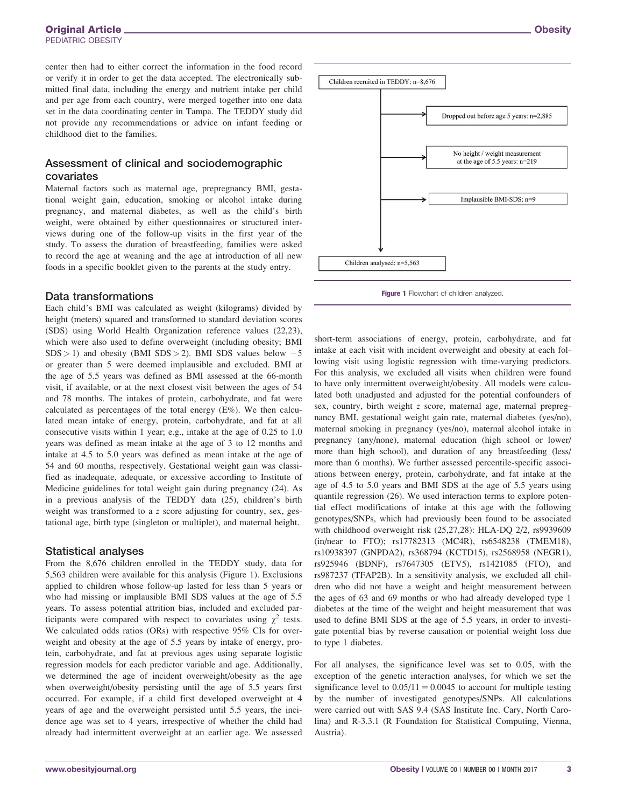center then had to either correct the information in the food record or verify it in order to get the data accepted. The electronically submitted final data, including the energy and nutrient intake per child and per age from each country, were merged together into one data set in the data coordinating center in Tampa. The TEDDY study did not provide any recommendations or advice on infant feeding or childhood diet to the families.

### Assessment of clinical and sociodemographic covariates

Maternal factors such as maternal age, prepregnancy BMI, gestational weight gain, education, smoking or alcohol intake during pregnancy, and maternal diabetes, as well as the child's birth weight, were obtained by either questionnaires or structured interviews during one of the follow-up visits in the first year of the study. To assess the duration of breastfeeding, families were asked to record the age at weaning and the age at introduction of all new foods in a specific booklet given to the parents at the study entry.

#### Data transformations

Each child's BMI was calculated as weight (kilograms) divided by height (meters) squared and transformed to standard deviation scores (SDS) using World Health Organization reference values (22,23), which were also used to define overweight (including obesity; BMI  $SDS > 1$ ) and obesity (BMI SDS > 2). BMI SDS values below  $-5$ or greater than 5 were deemed implausible and excluded. BMI at the age of 5.5 years was defined as BMI assessed at the 66-month visit, if available, or at the next closest visit between the ages of 54 and 78 months. The intakes of protein, carbohydrate, and fat were calculated as percentages of the total energy (E%). We then calculated mean intake of energy, protein, carbohydrate, and fat at all consecutive visits within 1 year; e.g., intake at the age of 0.25 to 1.0 years was defined as mean intake at the age of 3 to 12 months and intake at 4.5 to 5.0 years was defined as mean intake at the age of 54 and 60 months, respectively. Gestational weight gain was classified as inadequate, adequate, or excessive according to Institute of Medicine guidelines for total weight gain during pregnancy (24). As in a previous analysis of the TEDDY data (25), children's birth weight was transformed to a z score adjusting for country, sex, gestational age, birth type (singleton or multiplet), and maternal height.

#### Statistical analyses

From the 8,676 children enrolled in the TEDDY study, data for 5,563 children were available for this analysis (Figure 1). Exclusions applied to children whose follow-up lasted for less than 5 years or who had missing or implausible BMI SDS values at the age of 5.5 years. To assess potential attrition bias, included and excluded participants were compared with respect to covariates using  $\chi^2$  tests. We calculated odds ratios (ORs) with respective 95% CIs for overweight and obesity at the age of 5.5 years by intake of energy, protein, carbohydrate, and fat at previous ages using separate logistic regression models for each predictor variable and age. Additionally, we determined the age of incident overweight/obesity as the age when overweight/obesity persisting until the age of 5.5 years first occurred. For example, if a child first developed overweight at 4 years of age and the overweight persisted until 5.5 years, the incidence age was set to 4 years, irrespective of whether the child had already had intermittent overweight at an earlier age. We assessed



Figure 1 Flowchart of children analyzed.

short-term associations of energy, protein, carbohydrate, and fat intake at each visit with incident overweight and obesity at each following visit using logistic regression with time-varying predictors. For this analysis, we excluded all visits when children were found to have only intermittent overweight/obesity. All models were calculated both unadjusted and adjusted for the potential confounders of sex, country, birth weight z score, maternal age, maternal prepregnancy BMI, gestational weight gain rate, maternal diabetes (yes/no), maternal smoking in pregnancy (yes/no), maternal alcohol intake in pregnancy (any/none), maternal education (high school or lower/ more than high school), and duration of any breastfeeding (less/ more than 6 months). We further assessed percentile-specific associations between energy, protein, carbohydrate, and fat intake at the age of 4.5 to 5.0 years and BMI SDS at the age of 5.5 years using quantile regression (26). We used interaction terms to explore potential effect modifications of intake at this age with the following genotypes/SNPs, which had previously been found to be associated with childhood overweight risk (25,27,28): HLA-DQ 2/2, rs9939609 (in/near to FTO); rs17782313 (MC4R), rs6548238 (TMEM18), rs10938397 (GNPDA2), rs368794 (KCTD15), rs2568958 (NEGR1), rs925946 (BDNF), rs7647305 (ETV5), rs1421085 (FTO), and rs987237 (TFAP2B). In a sensitivity analysis, we excluded all children who did not have a weight and height measurement between the ages of 63 and 69 months or who had already developed type 1 diabetes at the time of the weight and height measurement that was used to define BMI SDS at the age of 5.5 years, in order to investigate potential bias by reverse causation or potential weight loss due to type 1 diabetes.

For all analyses, the significance level was set to 0.05, with the exception of the genetic interaction analyses, for which we set the significance level to  $0.05/11 = 0.0045$  to account for multiple testing by the number of investigated genotypes/SNPs. All calculations were carried out with SAS 9.4 (SAS Institute Inc. Cary, North Carolina) and R-3.3.1 (R Foundation for Statistical Computing, Vienna, Austria).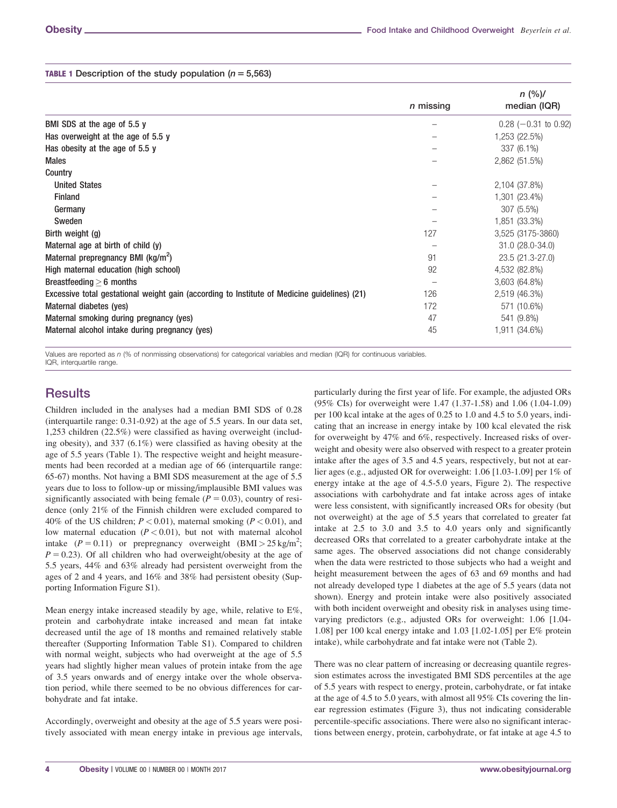#### **TABLE 1** Description of the study population ( $n = 5,563$ )

|                                                                                              |           | n (%)/                 |  |
|----------------------------------------------------------------------------------------------|-----------|------------------------|--|
|                                                                                              | n missing | median (IQR)           |  |
| BMI SDS at the age of 5.5 y                                                                  |           | $0.28$ (-0.31 to 0.92) |  |
| Has overweight at the age of 5.5 y                                                           |           | 1,253 (22.5%)          |  |
| Has obesity at the age of 5.5 y                                                              |           | 337 (6.1%)             |  |
| <b>Males</b>                                                                                 |           | 2,862 (51.5%)          |  |
| Country                                                                                      |           |                        |  |
| <b>United States</b>                                                                         |           | 2,104 (37.8%)          |  |
| <b>Finland</b>                                                                               |           | 1,301 (23.4%)          |  |
| Germany                                                                                      |           | 307 (5.5%)             |  |
| Sweden                                                                                       |           | 1,851 (33.3%)          |  |
| Birth weight (g)                                                                             | 127       | 3,525 (3175-3860)      |  |
| Maternal age at birth of child (y)                                                           |           | 31.0 (28.0-34.0)       |  |
| Maternal prepregnancy BMI (kg/m <sup>2</sup> )                                               | 91        | 23.5 (21.3-27.0)       |  |
| High maternal education (high school)                                                        | 92        | 4,532 (82.8%)          |  |
| Breastfeeding $> 6$ months                                                                   |           | 3,603 (64.8%)          |  |
| Excessive total gestational weight gain (according to Institute of Medicine guidelines) (21) | 126       | 2,519 (46.3%)          |  |
| Maternal diabetes (yes)                                                                      | 172       | 571 (10.6%)            |  |
| Maternal smoking during pregnancy (yes)                                                      | 47        | 541 (9.8%)             |  |
| Maternal alcohol intake during pregnancy (yes)                                               | 45        | 1,911 (34.6%)          |  |

Values are reported as n (% of nonmissing observations) for categorical variables and median (IQR) for continuous variables. IQR, interquartile range.

# **Results**

Children included in the analyses had a median BMI SDS of 0.28 (interquartile range: 0.31-0.92) at the age of 5.5 years. In our data set, 1,253 children (22.5%) were classified as having overweight (including obesity), and 337 (6.1%) were classified as having obesity at the age of 5.5 years (Table 1). The respective weight and height measurements had been recorded at a median age of 66 (interquartile range: 65-67) months. Not having a BMI SDS measurement at the age of 5.5 years due to loss to follow-up or missing/implausible BMI values was significantly associated with being female ( $P = 0.03$ ), country of residence (only 21% of the Finnish children were excluded compared to 40% of the US children;  $P < 0.01$ ), maternal smoking ( $P < 0.01$ ), and low maternal education  $(P < 0.01)$ , but not with maternal alcohol intake  $(P = 0.11)$  or prepregnancy overweight  $(BMI > 25 \text{ kg/m}^2)$ ;  $P = 0.23$ ). Of all children who had overweight/obesity at the age of 5.5 years, 44% and 63% already had persistent overweight from the ages of 2 and 4 years, and 16% and 38% had persistent obesity (Supporting Information Figure S1).

Mean energy intake increased steadily by age, while, relative to E%, protein and carbohydrate intake increased and mean fat intake decreased until the age of 18 months and remained relatively stable thereafter (Supporting Information Table S1). Compared to children with normal weight, subjects who had overweight at the age of 5.5 years had slightly higher mean values of protein intake from the age of 3.5 years onwards and of energy intake over the whole observation period, while there seemed to be no obvious differences for carbohydrate and fat intake.

Accordingly, overweight and obesity at the age of 5.5 years were positively associated with mean energy intake in previous age intervals,

particularly during the first year of life. For example, the adjusted ORs (95% CIs) for overweight were 1.47 (1.37-1.58) and 1.06 (1.04-1.09) per 100 kcal intake at the ages of 0.25 to 1.0 and 4.5 to 5.0 years, indicating that an increase in energy intake by 100 kcal elevated the risk for overweight by 47% and 6%, respectively. Increased risks of overweight and obesity were also observed with respect to a greater protein intake after the ages of 3.5 and 4.5 years, respectively, but not at earlier ages (e.g., adjusted OR for overweight: 1.06 [1.03-1.09] per 1% of energy intake at the age of 4.5-5.0 years, Figure 2). The respective associations with carbohydrate and fat intake across ages of intake were less consistent, with significantly increased ORs for obesity (but not overweight) at the age of 5.5 years that correlated to greater fat intake at 2.5 to 3.0 and 3.5 to 4.0 years only and significantly decreased ORs that correlated to a greater carbohydrate intake at the same ages. The observed associations did not change considerably when the data were restricted to those subjects who had a weight and height measurement between the ages of 63 and 69 months and had not already developed type 1 diabetes at the age of 5.5 years (data not shown). Energy and protein intake were also positively associated with both incident overweight and obesity risk in analyses using timevarying predictors (e.g., adjusted ORs for overweight: 1.06 [1.04- 1.08] per 100 kcal energy intake and 1.03 [1.02-1.05] per E% protein intake), while carbohydrate and fat intake were not (Table 2).

There was no clear pattern of increasing or decreasing quantile regression estimates across the investigated BMI SDS percentiles at the age of 5.5 years with respect to energy, protein, carbohydrate, or fat intake at the age of 4.5 to 5.0 years, with almost all 95% CIs covering the linear regression estimates (Figure 3), thus not indicating considerable percentile-specific associations. There were also no significant interactions between energy, protein, carbohydrate, or fat intake at age 4.5 to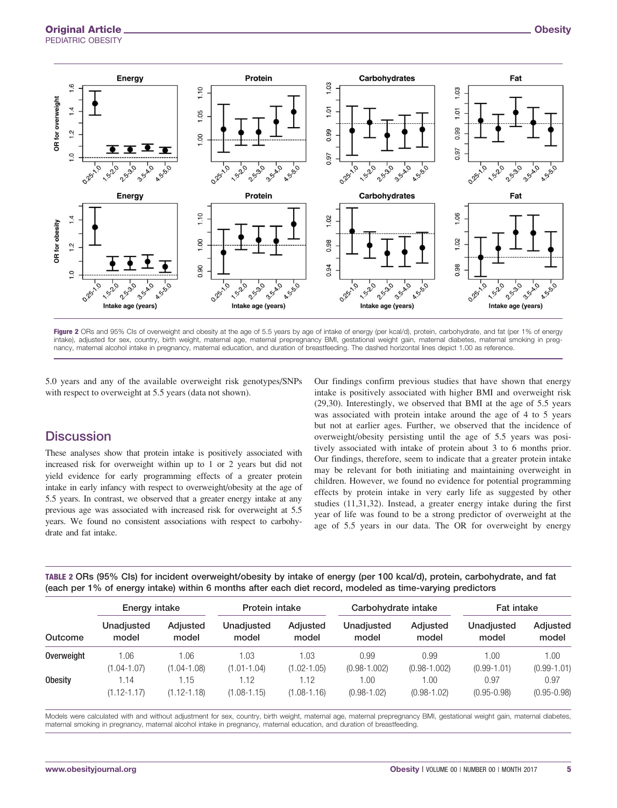

Figure 2 ORs and 95% CIs of overweight and obesity at the age of 5.5 years by age of intake of energy (per kcal/d), protein, carbohydrate, and fat (per 1% of energy intake), adjusted for sex, country, birth weight, maternal age, maternal prepregnancy BMI, gestational weight gain, maternal diabetes, maternal smoking in pregnancy, maternal alcohol intake in pregnancy, maternal education, and duration of breastfeeding. The dashed horizontal lines depict 1.00 as reference.

5.0 years and any of the available overweight risk genotypes/SNPs with respect to overweight at 5.5 years (data not shown).

# **Discussion**

These analyses show that protein intake is positively associated with increased risk for overweight within up to 1 or 2 years but did not yield evidence for early programming effects of a greater protein intake in early infancy with respect to overweight/obesity at the age of 5.5 years. In contrast, we observed that a greater energy intake at any previous age was associated with increased risk for overweight at 5.5 years. We found no consistent associations with respect to carbohydrate and fat intake.

Our findings confirm previous studies that have shown that energy intake is positively associated with higher BMI and overweight risk (29,30). Interestingly, we observed that BMI at the age of 5.5 years was associated with protein intake around the age of 4 to 5 years but not at earlier ages. Further, we observed that the incidence of overweight/obesity persisting until the age of 5.5 years was positively associated with intake of protein about 3 to 6 months prior. Our findings, therefore, seem to indicate that a greater protein intake may be relevant for both initiating and maintaining overweight in children. However, we found no evidence for potential programming effects by protein intake in very early life as suggested by other studies (11,31,32). Instead, a greater energy intake during the first year of life was found to be a strong predictor of overweight at the age of 5.5 years in our data. The OR for overweight by energy

| TABLE 2 ORs (95% CIs) for incident overweight/obesity by intake of energy (per 100 kcal/d), protein, carbohydrate, and fat |  |
|----------------------------------------------------------------------------------------------------------------------------|--|
| (each per 1% of energy intake) within 6 months after each diet record, modeled as time-varying predictors                  |  |

| Outcome        | Energy intake       |                   | Protein intake      |                   | Carbohydrate intake |                   | <b>Fat intake</b>   |                   |
|----------------|---------------------|-------------------|---------------------|-------------------|---------------------|-------------------|---------------------|-------------------|
|                | Unadjusted<br>model | Adjusted<br>model | Unadjusted<br>model | Adjusted<br>model | Unadjusted<br>model | Adjusted<br>model | Unadjusted<br>model | Adjusted<br>model |
| Overweight     | 1.06                | 1.06              | 1.03                | 1.03              | 0.99                | 0.99              | 1.00                | 1.00              |
|                | $(1.04 - 1.07)$     | $(1.04 - 1.08)$   | $(1.01 - 1.04)$     | $(1.02 - 1.05)$   | $(0.98 - 1.002)$    | $(0.98 - 1.002)$  | $(0.99 - 1.01)$     | $(0.99 - 1.01)$   |
| <b>Obesity</b> | 1.14                | 1.15              | 1.12                | .12               | 1.00                | 1.00              | 0.97                | 0.97              |
|                | $(1.12 - 1.17)$     | $(1.12 - 1.18)$   | $(1.08 - 1.15)$     | $(1.08 - 1.16)$   | $(0.98 - 1.02)$     | $(0.98 - 1.02)$   | $(0.95 - 0.98)$     | $(0.95 - 0.98)$   |

Models were calculated with and without adjustment for sex, country, birth weight, maternal age, maternal prepregnancy BMI, gestational weight gain, maternal diabetes, maternal smoking in pregnancy, maternal alcohol intake in pregnancy, maternal education, and duration of breastfeeding.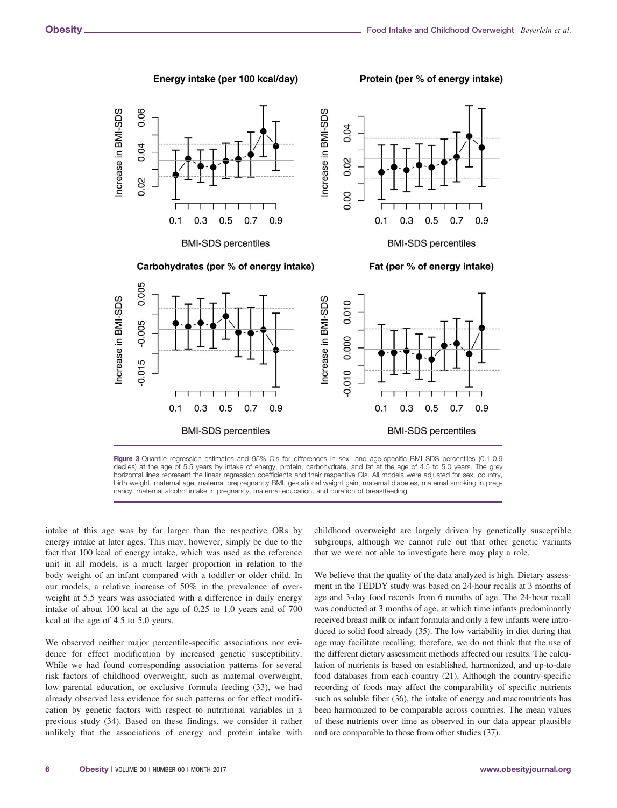Energy intake (per 100 kcal/day)

Protein (per % of energy intake)



**BMI-SDS** percentiles **BMI-SDS** percentiles Figure 3 Quantile regression estimates and 95% CIs for differences in sex- and age-specific BMI SDS percentiles (0.1-0.9 deciles) at the age of 5.5 years by intake of energy, protein, carbohydrate, and fat at the age of 4.5 to 5.0 years. The grey horizontal lines represent the linear regression coefficients and their respective CIs. All models were adjusted for sex, country, birth weight, maternal age, maternal prepregnancy BMI, gestational weight gain, maternal diabetes, maternal smoking in preg-

 $0.1$ 

0 .3

nancy, maternal alcohol intake in pregnancy, maternal education, and duration of breastfeeding.

intake at this age was by far larger than the respective ORs by energy intake at later ages. This may, however, simply be due to the fact that 100 kcal of energy intake, which was used as the reference unit in all models, is a much larger proportion in relation to the body weight of an infant compared with a toddler or older child. In our models, a relative increase of 50% in the prevalence of overweight at 5.5 years was associated with a difference in daily energy intake of about 100 kcal at the age of 0.25 to 1.0 years and of 700 kcal at the age of 4.5 to 5.0 years.

 $0.1$ 

 $0.3$ 

 $0.5$ 

 $0.7$ 

 $0.9$ 

We observed neither major percentile-specific associations nor evidence for effect modification by increased genetic susceptibility. While we had found corresponding association patterns for several risk factors of childhood overweight, such as maternal overweight, low parental education, or exclusive formula feeding (33), we had already observed less evidence for such patterns or for effect modification by genetic factors with respect to nutritional variables in a previous study (34). Based on these findings, we consider it rather unlikely that the associations of energy and protein intake with

childhood overweight are largely driven by genetically susceptible subgroups, although we cannot rule out that other genetic variants that we were not able to investigate here may play a role.

 $0.7$ 

 $0.5$ 

0.9

We believe that the quality of the data analyzed is high. Dietary assessment in the TEDDY study was based on 24-hour recalls at 3 months of age and 3-day food records from 6 months of age. The 24-hour recall was conducted at 3 months of age, at which time infants predominantly received breast milk or infant formula and only a few infants were introduced to solid food already (35). The low variability in diet during that age may facilitate recalling; therefore, we do not think that the use of the different dietary assessment methods affected our results. The calculation of nutrients is based on established, harmonized, and up-to-date food databases from each country (21). Although the country-specific recording of foods may affect the comparability of specific nutrients such as soluble fiber (36), the intake of energy and macronutrients has been harmonized to be comparable across countries. The mean values of these nutrients over time as observed in our data appear plausible and are comparable to those from other studies (37).